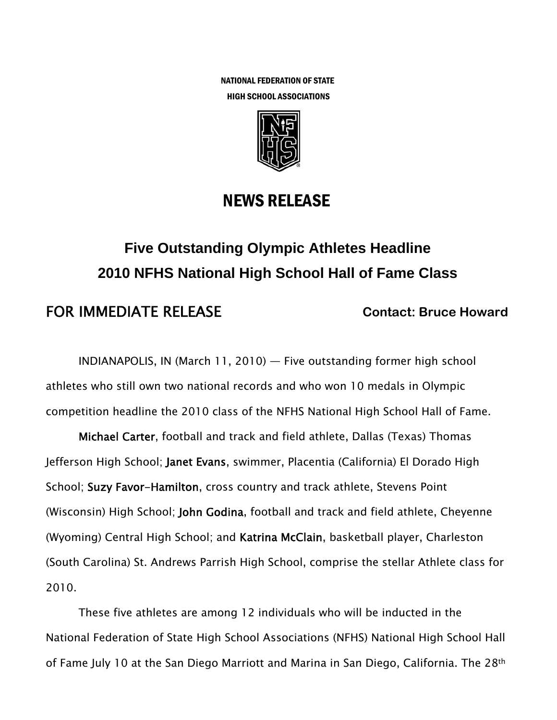NATIONAL FEDERATION OF STATE HIGH SCHOOL ASSOCIATIONS



# NEWS RELEASE

# **Five Outstanding Olympic Athletes Headline 2010 NFHS National High School Hall of Fame Class**

# FOR IMMEDIATE RELEASE **Contact: Bruce Howard**

INDIANAPOLIS, IN (March 11, 2010) — Five outstanding former high school athletes who still own two national records and who won 10 medals in Olympic competition headline the 2010 class of the NFHS National High School Hall of Fame.

Michael Carter, football and track and field athlete, Dallas (Texas) Thomas Jefferson High School; Janet Evans, swimmer, Placentia (California) El Dorado High School; Suzy Favor-Hamilton, cross country and track athlete, Stevens Point (Wisconsin) High School; John Godina, football and track and field athlete, Cheyenne (Wyoming) Central High School; and Katrina McClain, basketball player, Charleston (South Carolina) St. Andrews Parrish High School, comprise the stellar Athlete class for 2010.

These five athletes are among 12 individuals who will be inducted in the National Federation of State High School Associations (NFHS) National High School Hall of Fame July 10 at the San Diego Marriott and Marina in San Diego, California. The 28th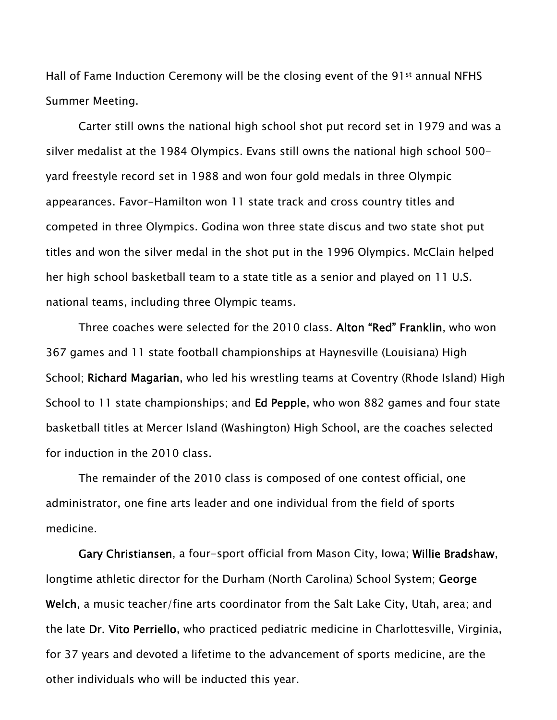Hall of Fame Induction Ceremony will be the closing event of the 91st annual NFHS Summer Meeting.

Carter still owns the national high school shot put record set in 1979 and was a silver medalist at the 1984 Olympics. Evans still owns the national high school 500 yard freestyle record set in 1988 and won four gold medals in three Olympic appearances. Favor-Hamilton won 11 state track and cross country titles and competed in three Olympics. Godina won three state discus and two state shot put titles and won the silver medal in the shot put in the 1996 Olympics. McClain helped her high school basketball team to a state title as a senior and played on 11 U.S. national teams, including three Olympic teams.

Three coaches were selected for the 2010 class. Alton "Red" Franklin, who won 367 games and 11 state football championships at Haynesville (Louisiana) High School; Richard Magarian, who led his wrestling teams at Coventry (Rhode Island) High School to 11 state championships; and **Ed Pepple**, who won 882 games and four state basketball titles at Mercer Island (Washington) High School, are the coaches selected for induction in the 2010 class.

The remainder of the 2010 class is composed of one contest official, one administrator, one fine arts leader and one individual from the field of sports medicine.

Gary Christiansen, a four-sport official from Mason City, Iowa; Willie Bradshaw, longtime athletic director for the Durham (North Carolina) School System; George Welch, a music teacher/fine arts coordinator from the Salt Lake City, Utah, area; and the late Dr. Vito Perriello, who practiced pediatric medicine in Charlottesville, Virginia, for 37 years and devoted a lifetime to the advancement of sports medicine, are the other individuals who will be inducted this year.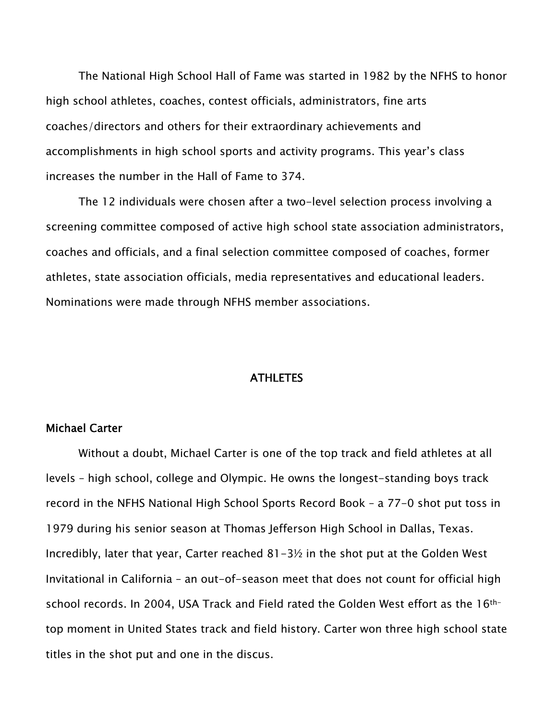The National High School Hall of Fame was started in 1982 by the NFHS to honor high school athletes, coaches, contest officials, administrators, fine arts coaches/directors and others for their extraordinary achievements and accomplishments in high school sports and activity programs. This year's class increases the number in the Hall of Fame to 374.

The 12 individuals were chosen after a two-level selection process involving a screening committee composed of active high school state association administrators, coaches and officials, and a final selection committee composed of coaches, former athletes, state association officials, media representatives and educational leaders. Nominations were made through NFHS member associations.

#### ATHLETES

# Michael Carter

 Without a doubt, Michael Carter is one of the top track and field athletes at all levels – high school, college and Olympic. He owns the longest-standing boys track record in the NFHS National High School Sports Record Book – a 77-0 shot put toss in 1979 during his senior season at Thomas Jefferson High School in Dallas, Texas. Incredibly, later that year, Carter reached 81-3½ in the shot put at the Golden West Invitational in California – an out-of-season meet that does not count for official high school records. In 2004, USA Track and Field rated the Golden West effort as the 16thtop moment in United States track and field history. Carter won three high school state titles in the shot put and one in the discus.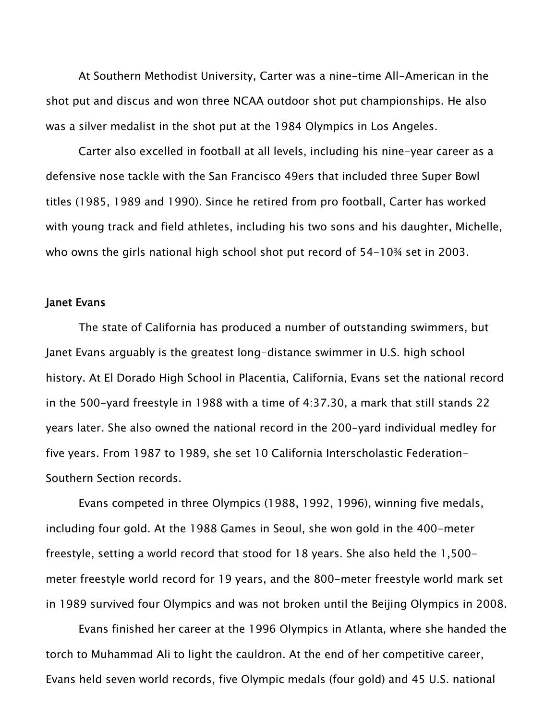At Southern Methodist University, Carter was a nine-time All-American in the shot put and discus and won three NCAA outdoor shot put championships. He also was a silver medalist in the shot put at the 1984 Olympics in Los Angeles.

Carter also excelled in football at all levels, including his nine-year career as a defensive nose tackle with the San Francisco 49ers that included three Super Bowl titles (1985, 1989 and 1990). Since he retired from pro football, Carter has worked with young track and field athletes, including his two sons and his daughter, Michelle, who owns the girls national high school shot put record of 54-10¾ set in 2003.

#### Janet Evans

 The state of California has produced a number of outstanding swimmers, but Janet Evans arguably is the greatest long-distance swimmer in U.S. high school history. At El Dorado High School in Placentia, California, Evans set the national record in the 500-yard freestyle in 1988 with a time of 4:37.30, a mark that still stands 22 years later. She also owned the national record in the 200-yard individual medley for five years. From 1987 to 1989, she set 10 California Interscholastic Federation-Southern Section records.

Evans competed in three Olympics (1988, 1992, 1996), winning five medals, including four gold. At the 1988 Games in Seoul, she won gold in the 400-meter freestyle, setting a world record that stood for 18 years. She also held the 1,500 meter freestyle world record for 19 years, and the 800-meter freestyle world mark set in 1989 survived four Olympics and was not broken until the Beijing Olympics in 2008.

Evans finished her career at the 1996 Olympics in Atlanta, where she handed the torch to Muhammad Ali to light the cauldron. At the end of her competitive career, Evans held seven world records, five Olympic medals (four gold) and 45 U.S. national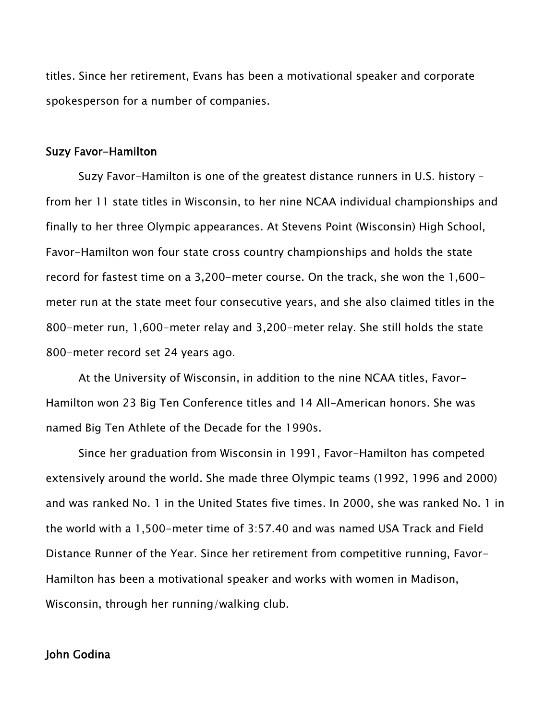titles. Since her retirement, Evans has been a motivational speaker and corporate spokesperson for a number of companies.

#### Suzy Favor-Hamilton

 Suzy Favor-Hamilton is one of the greatest distance runners in U.S. history – from her 11 state titles in Wisconsin, to her nine NCAA individual championships and finally to her three Olympic appearances. At Stevens Point (Wisconsin) High School, Favor-Hamilton won four state cross country championships and holds the state record for fastest time on a 3,200-meter course. On the track, she won the 1,600 meter run at the state meet four consecutive years, and she also claimed titles in the 800-meter run, 1,600-meter relay and 3,200-meter relay. She still holds the state 800-meter record set 24 years ago.

At the University of Wisconsin, in addition to the nine NCAA titles, Favor-Hamilton won 23 Big Ten Conference titles and 14 All-American honors. She was named Big Ten Athlete of the Decade for the 1990s.

Since her graduation from Wisconsin in 1991, Favor-Hamilton has competed extensively around the world. She made three Olympic teams (1992, 1996 and 2000) and was ranked No. 1 in the United States five times. In 2000, she was ranked No. 1 in the world with a 1,500-meter time of 3:57.40 and was named USA Track and Field Distance Runner of the Year. Since her retirement from competitive running, Favor-Hamilton has been a motivational speaker and works with women in Madison, Wisconsin, through her running/walking club.

# John Godina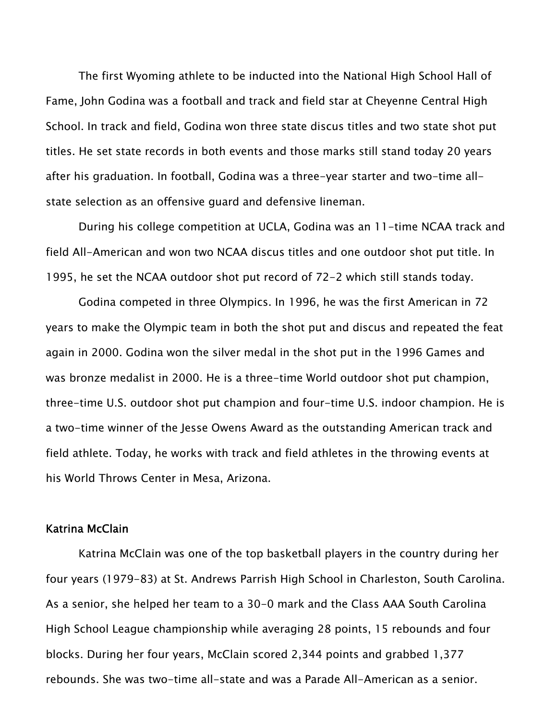The first Wyoming athlete to be inducted into the National High School Hall of Fame, John Godina was a football and track and field star at Cheyenne Central High School. In track and field, Godina won three state discus titles and two state shot put titles. He set state records in both events and those marks still stand today 20 years after his graduation. In football, Godina was a three-year starter and two-time allstate selection as an offensive guard and defensive lineman.

During his college competition at UCLA, Godina was an 11-time NCAA track and field All-American and won two NCAA discus titles and one outdoor shot put title. In 1995, he set the NCAA outdoor shot put record of 72-2 which still stands today.

Godina competed in three Olympics. In 1996, he was the first American in 72 years to make the Olympic team in both the shot put and discus and repeated the feat again in 2000. Godina won the silver medal in the shot put in the 1996 Games and was bronze medalist in 2000. He is a three-time World outdoor shot put champion, three-time U.S. outdoor shot put champion and four-time U.S. indoor champion. He is a two-time winner of the Jesse Owens Award as the outstanding American track and field athlete. Today, he works with track and field athletes in the throwing events at his World Throws Center in Mesa, Arizona.

# Katrina McClain

 Katrina McClain was one of the top basketball players in the country during her four years (1979-83) at St. Andrews Parrish High School in Charleston, South Carolina. As a senior, she helped her team to a 30-0 mark and the Class AAA South Carolina High School League championship while averaging 28 points, 15 rebounds and four blocks. During her four years, McClain scored 2,344 points and grabbed 1,377 rebounds. She was two-time all-state and was a Parade All-American as a senior.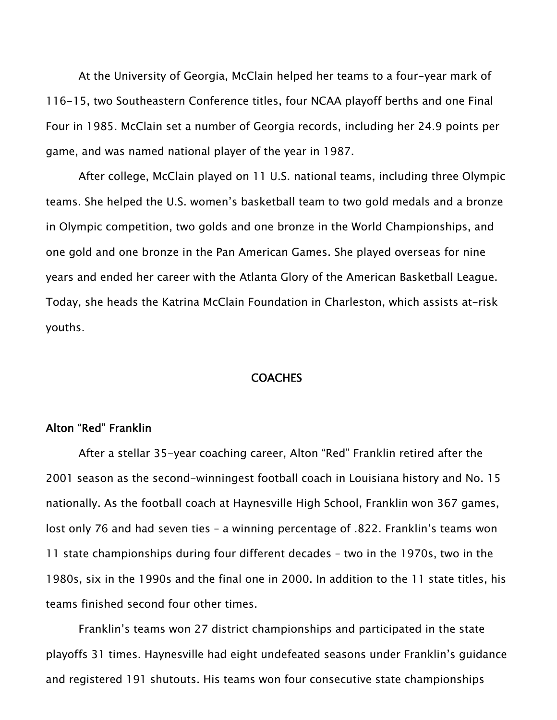At the University of Georgia, McClain helped her teams to a four-year mark of 116-15, two Southeastern Conference titles, four NCAA playoff berths and one Final Four in 1985. McClain set a number of Georgia records, including her 24.9 points per game, and was named national player of the year in 1987.

After college, McClain played on 11 U.S. national teams, including three Olympic teams. She helped the U.S. women's basketball team to two gold medals and a bronze in Olympic competition, two golds and one bronze in the World Championships, and one gold and one bronze in the Pan American Games. She played overseas for nine years and ended her career with the Atlanta Glory of the American Basketball League. Today, she heads the Katrina McClain Foundation in Charleston, which assists at-risk youths.

#### COACHES

# Alton "Red" Franklin

 After a stellar 35-year coaching career, Alton "Red" Franklin retired after the 2001 season as the second-winningest football coach in Louisiana history and No. 15 nationally. As the football coach at Haynesville High School, Franklin won 367 games, lost only 76 and had seven ties – a winning percentage of .822. Franklin's teams won 11 state championships during four different decades – two in the 1970s, two in the 1980s, six in the 1990s and the final one in 2000. In addition to the 11 state titles, his teams finished second four other times.

Franklin's teams won 27 district championships and participated in the state playoffs 31 times. Haynesville had eight undefeated seasons under Franklin's guidance and registered 191 shutouts. His teams won four consecutive state championships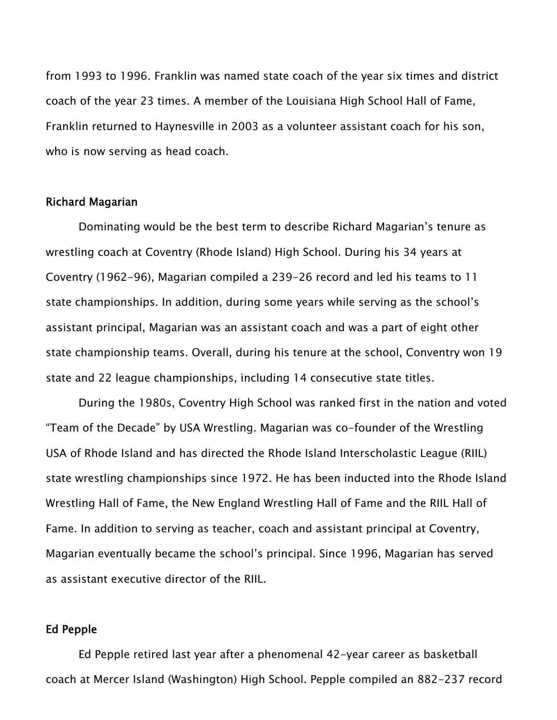from 1993 to 1996. Franklin was named state coach of the year six times and district coach of the year 23 times. A member of the Louisiana High School Hall of Fame, Franklin returned to Haynesville in 2003 as a volunteer assistant coach for his son, who is now serving as head coach.

# Richard Magarian

 Dominating would be the best term to describe Richard Magarian's tenure as wrestling coach at Coventry (Rhode Island) High School. During his 34 years at Coventry (1962-96), Magarian compiled a 239-26 record and led his teams to 11 state championships. In addition, during some years while serving as the school's assistant principal, Magarian was an assistant coach and was a part of eight other state championship teams. Overall, during his tenure at the school, Conventry won 19 state and 22 league championships, including 14 consecutive state titles.

During the 1980s, Coventry High School was ranked first in the nation and voted "Team of the Decade" by USA Wrestling. Magarian was co-founder of the Wrestling USA of Rhode Island and has directed the Rhode Island Interscholastic League (RIIL) state wrestling championships since 1972. He has been inducted into the Rhode Island Wrestling Hall of Fame, the New England Wrestling Hall of Fame and the RIIL Hall of Fame. In addition to serving as teacher, coach and assistant principal at Coventry, Magarian eventually became the school's principal. Since 1996, Magarian has served as assistant executive director of the RIIL.

#### Ed Pepple

 Ed Pepple retired last year after a phenomenal 42-year career as basketball coach at Mercer Island (Washington) High School. Pepple compiled an 882-237 record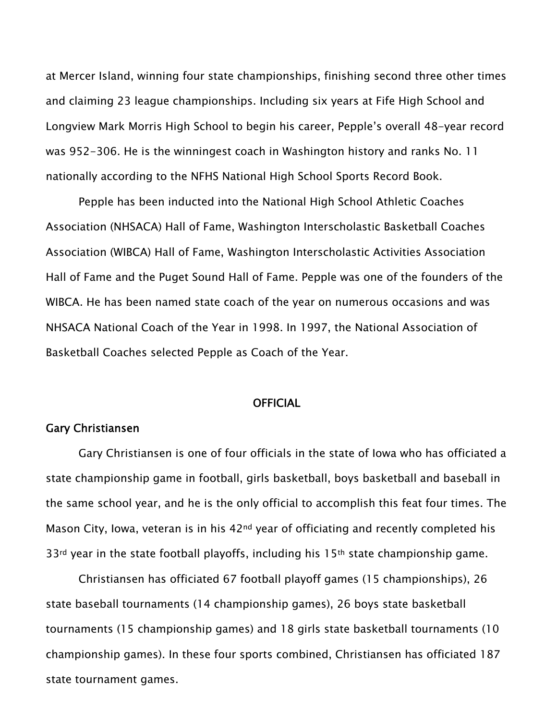at Mercer Island, winning four state championships, finishing second three other times and claiming 23 league championships. Including six years at Fife High School and Longview Mark Morris High School to begin his career, Pepple's overall 48-year record was 952-306. He is the winningest coach in Washington history and ranks No. 11 nationally according to the NFHS National High School Sports Record Book.

Pepple has been inducted into the National High School Athletic Coaches Association (NHSACA) Hall of Fame, Washington Interscholastic Basketball Coaches Association (WIBCA) Hall of Fame, Washington Interscholastic Activities Association Hall of Fame and the Puget Sound Hall of Fame. Pepple was one of the founders of the WIBCA. He has been named state coach of the year on numerous occasions and was NHSACA National Coach of the Year in 1998. In 1997, the National Association of Basketball Coaches selected Pepple as Coach of the Year.

#### **OFFICIAL**

#### Gary Christiansen

 Gary Christiansen is one of four officials in the state of Iowa who has officiated a state championship game in football, girls basketball, boys basketball and baseball in the same school year, and he is the only official to accomplish this feat four times. The Mason City, Iowa, veteran is in his 42<sup>nd</sup> year of officiating and recently completed his  $33<sup>rd</sup>$  year in the state football playoffs, including his 15<sup>th</sup> state championship game.

Christiansen has officiated 67 football playoff games (15 championships), 26 state baseball tournaments (14 championship games), 26 boys state basketball tournaments (15 championship games) and 18 girls state basketball tournaments (10 championship games). In these four sports combined, Christiansen has officiated 187 state tournament games.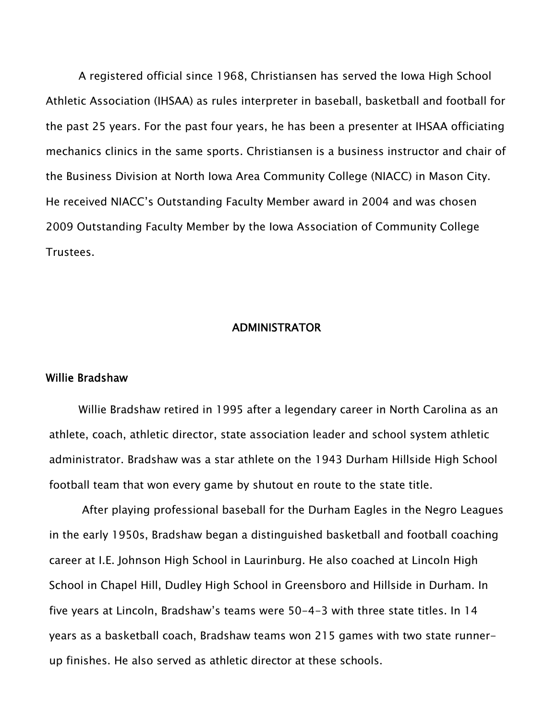A registered official since 1968, Christiansen has served the Iowa High School Athletic Association (IHSAA) as rules interpreter in baseball, basketball and football for the past 25 years. For the past four years, he has been a presenter at IHSAA officiating mechanics clinics in the same sports. Christiansen is a business instructor and chair of the Business Division at North Iowa Area Community College (NIACC) in Mason City. He received NIACC's Outstanding Faculty Member award in 2004 and was chosen 2009 Outstanding Faculty Member by the Iowa Association of Community College Trustees.

#### ADMINISTRATOR

#### Willie Bradshaw

Willie Bradshaw retired in 1995 after a legendary career in North Carolina as an athlete, coach, athletic director, state association leader and school system athletic administrator. Bradshaw was a star athlete on the 1943 Durham Hillside High School football team that won every game by shutout en route to the state title.

 After playing professional baseball for the Durham Eagles in the Negro Leagues in the early 1950s, Bradshaw began a distinguished basketball and football coaching career at I.E. Johnson High School in Laurinburg. He also coached at Lincoln High School in Chapel Hill, Dudley High School in Greensboro and Hillside in Durham. In five years at Lincoln, Bradshaw's teams were 50-4-3 with three state titles. In 14 years as a basketball coach, Bradshaw teams won 215 games with two state runnerup finishes. He also served as athletic director at these schools.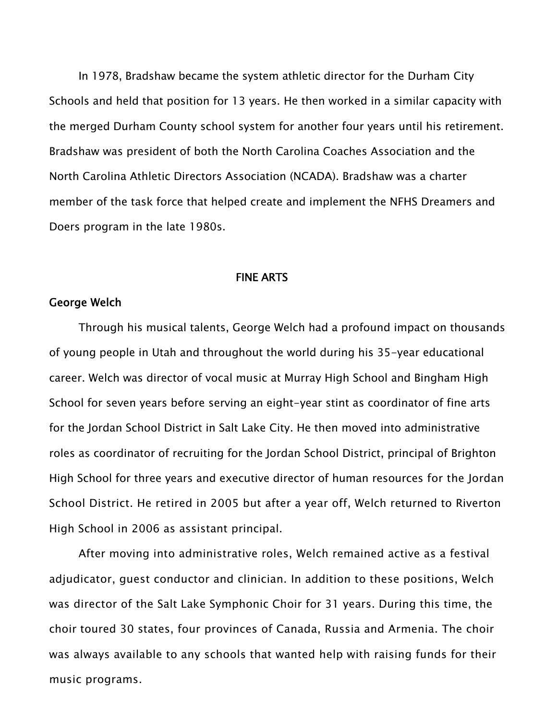In 1978, Bradshaw became the system athletic director for the Durham City Schools and held that position for 13 years. He then worked in a similar capacity with the merged Durham County school system for another four years until his retirement. Bradshaw was president of both the North Carolina Coaches Association and the North Carolina Athletic Directors Association (NCADA). Bradshaw was a charter member of the task force that helped create and implement the NFHS Dreamers and Doers program in the late 1980s.

#### FINE ARTS

### George Welch

Through his musical talents, George Welch had a profound impact on thousands of young people in Utah and throughout the world during his 35-year educational career. Welch was director of vocal music at Murray High School and Bingham High School for seven years before serving an eight-year stint as coordinator of fine arts for the Jordan School District in Salt Lake City. He then moved into administrative roles as coordinator of recruiting for the Jordan School District, principal of Brighton High School for three years and executive director of human resources for the Jordan School District. He retired in 2005 but after a year off, Welch returned to Riverton High School in 2006 as assistant principal.

After moving into administrative roles, Welch remained active as a festival adjudicator, guest conductor and clinician. In addition to these positions, Welch was director of the Salt Lake Symphonic Choir for 31 years. During this time, the choir toured 30 states, four provinces of Canada, Russia and Armenia. The choir was always available to any schools that wanted help with raising funds for their music programs.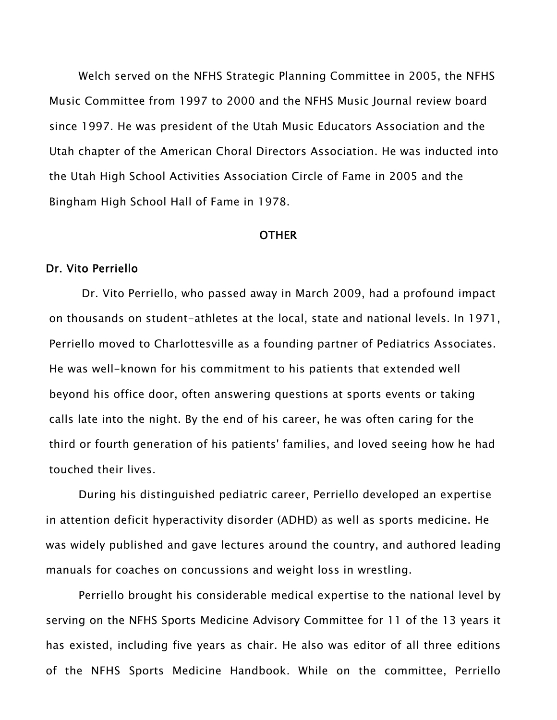Welch served on the NFHS Strategic Planning Committee in 2005, the NFHS Music Committee from 1997 to 2000 and the NFHS Music Journal review board since 1997. He was president of the Utah Music Educators Association and the Utah chapter of the American Choral Directors Association. He was inducted into the Utah High School Activities Association Circle of Fame in 2005 and the Bingham High School Hall of Fame in 1978.

#### **OTHER**

#### Dr. Vito Perriello

Dr. Vito Perriello, who passed away in March 2009, had a profound impact on thousands on student-athletes at the local, state and national levels. In 1971, Perriello moved to Charlottesville as a founding partner of Pediatrics Associates. He was well-known for his commitment to his patients that extended well beyond his office door, often answering questions at sports events or taking calls late into the night. By the end of his career, he was often caring for the third or fourth generation of his patients' families, and loved seeing how he had touched their lives.

During his distinguished pediatric career, Perriello developed an expertise in attention deficit hyperactivity disorder (ADHD) as well as sports medicine. He was widely published and gave lectures around the country, and authored leading manuals for coaches on concussions and weight loss in wrestling.

Perriello brought his considerable medical expertise to the national level by serving on the NFHS Sports Medicine Advisory Committee for 11 of the 13 years it has existed, including five years as chair. He also was editor of all three editions of the NFHS Sports Medicine Handbook. While on the committee, Perriello